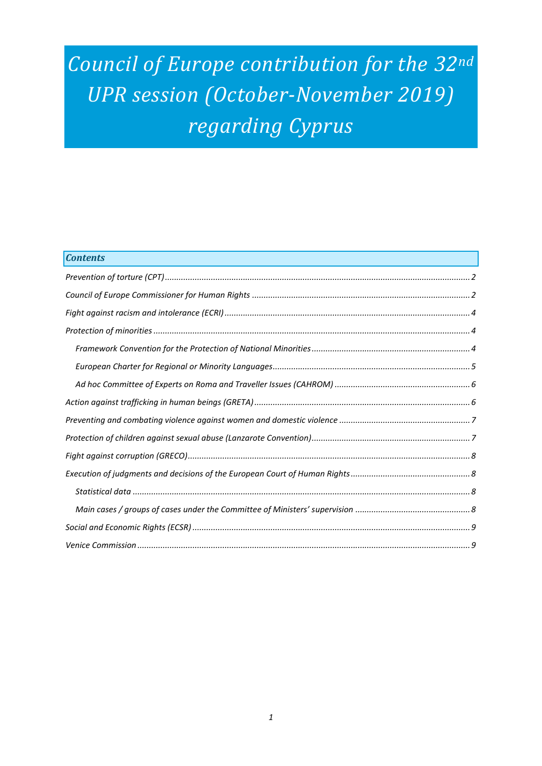# *Council of Europe contribution for the 32nd UPR session (October-November 2019) regarding Cyprus*

| <b>Contents</b> |
|-----------------|
|                 |
|                 |
|                 |
|                 |
|                 |
|                 |
|                 |
|                 |
|                 |
|                 |
|                 |
|                 |
|                 |
|                 |
|                 |
|                 |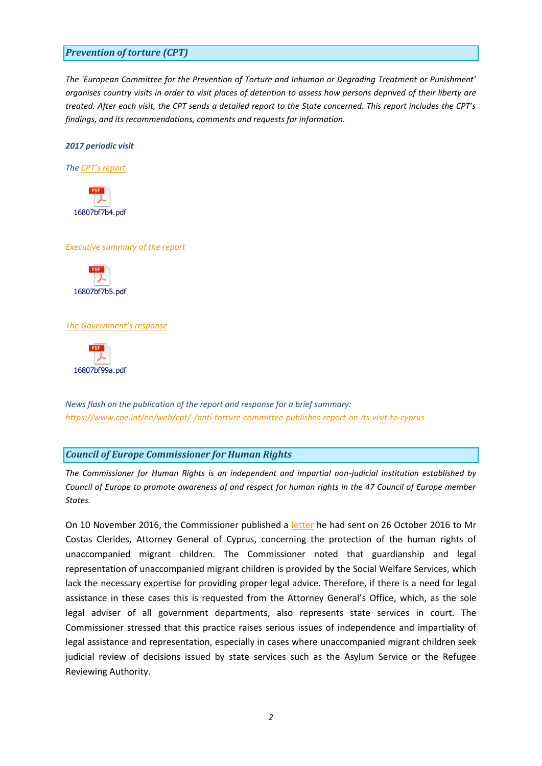#### <span id="page-1-0"></span>*Prevention of torture (CPT)*

*The 'European Committee for the Prevention of Torture and Inhuman or Degrading Treatment or Punishment' organises country visits in order to visit places of detention to assess how persons deprived of their liberty are treated. After each visit, the CPT sends a detailed report to the State concerned. This report includes the CPT's findings, and its recommendations, comments and requests for information.*

*2017 periodic visit*

*The [CPT's report](https://rm.coe.int/16807bf7b4)*



#### *[Executive summary of the report](https://rm.coe.int/16807bf7b5)*



#### *[The Government's response](https://rm.coe.int/16807bf99a)*



*News flash on the publication of the report and response for a brief summary: <https://www.coe.int/en/web/cpt/-/anti-torture-committee-publishes-report-on-its-visit-to-cyprus>*

#### <span id="page-1-1"></span>*Council of Europe Commissioner for Human Rights*

*The Commissioner for Human Rights is an independent and impartial non-judicial institution established by Council of Europe to promote awareness of and respect for human rights in the 47 Council of Europe member States.*

On 10 November 2016, the Commissioner published a [letter](https://rm.coe.int/16806db78d) he had sent on 26 October 2016 to Mr Costas Clerides, Attorney General of Cyprus, concerning the protection of the human rights of unaccompanied migrant children. The Commissioner noted that guardianship and legal representation of unaccompanied migrant children is provided by the Social Welfare Services, which lack the necessary expertise for providing proper legal advice. Therefore, if there is a need for legal assistance in these cases this is requested from the Attorney General's Office, which, as the sole legal adviser of all government departments, also represents state services in court. The Commissioner stressed that this practice raises serious issues of independence and impartiality of legal assistance and representation, especially in cases where unaccompanied migrant children seek judicial review of decisions issued by state services such as the Asylum Service or the Refugee Reviewing Authority.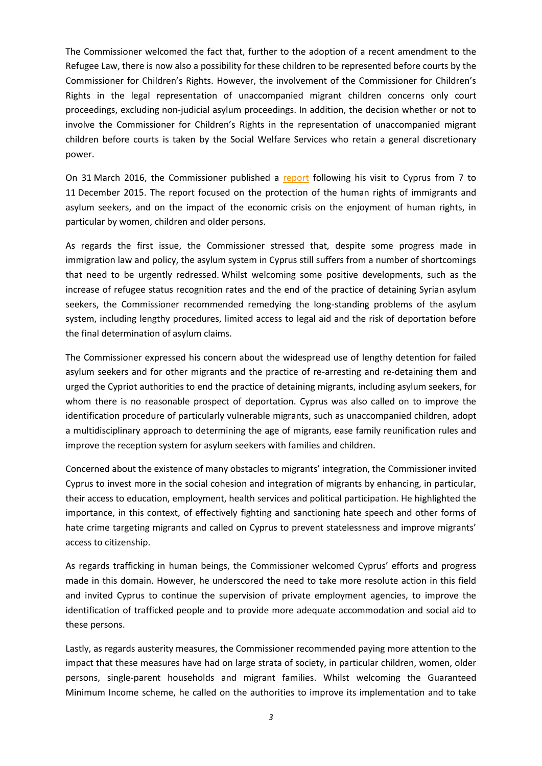The Commissioner welcomed the fact that, further to the adoption of a recent amendment to the Refugee Law, there is now also a possibility for these children to be represented before courts by the Commissioner for Children's Rights. However, the involvement of the Commissioner for Children's Rights in the legal representation of unaccompanied migrant children concerns only court proceedings, excluding non-judicial asylum proceedings. In addition, the decision whether or not to involve the Commissioner for Children's Rights in the representation of unaccompanied migrant children before courts is taken by the Social Welfare Services who retain a general discretionary power.

On 31 March 2016, the Commissioner published a [report](https://rm.coe.int/ref/CommDH(2016)16) following his visit to Cyprus from 7 to 11 December 2015. The report focused on the protection of the human rights of immigrants and asylum seekers, and on the impact of the economic crisis on the enjoyment of human rights, in particular by women, children and older persons.

As regards the first issue, the Commissioner stressed that, despite some progress made in immigration law and policy, the asylum system in Cyprus still suffers from a number of shortcomings that need to be urgently redressed. Whilst welcoming some positive developments, such as the increase of refugee status recognition rates and the end of the practice of detaining Syrian asylum seekers, the Commissioner recommended remedying the long-standing problems of the asylum system, including lengthy procedures, limited access to legal aid and the risk of deportation before the final determination of asylum claims.

The Commissioner expressed his concern about the widespread use of lengthy detention for failed asylum seekers and for other migrants and the practice of re-arresting and re-detaining them and urged the Cypriot authorities to end the practice of detaining migrants, including asylum seekers, for whom there is no reasonable prospect of deportation. Cyprus was also called on to improve the identification procedure of particularly vulnerable migrants, such as unaccompanied children, adopt a multidisciplinary approach to determining the age of migrants, ease family reunification rules and improve the reception system for asylum seekers with families and children.

Concerned about the existence of many obstacles to migrants' integration, the Commissioner invited Cyprus to invest more in the social cohesion and integration of migrants by enhancing, in particular, their access to education, employment, health services and political participation. He highlighted the importance, in this context, of effectively fighting and sanctioning hate speech and other forms of hate crime targeting migrants and called on Cyprus to prevent statelessness and improve migrants' access to citizenship.

As regards trafficking in human beings, the Commissioner welcomed Cyprus' efforts and progress made in this domain. However, he underscored the need to take more resolute action in this field and invited Cyprus to continue the supervision of private employment agencies, to improve the identification of trafficked people and to provide more adequate accommodation and social aid to these persons.

Lastly, as regards austerity measures, the Commissioner recommended paying more attention to the impact that these measures have had on large strata of society, in particular children, women, older persons, single-parent households and migrant families. Whilst welcoming the Guaranteed Minimum Income scheme, he called on the authorities to improve its implementation and to take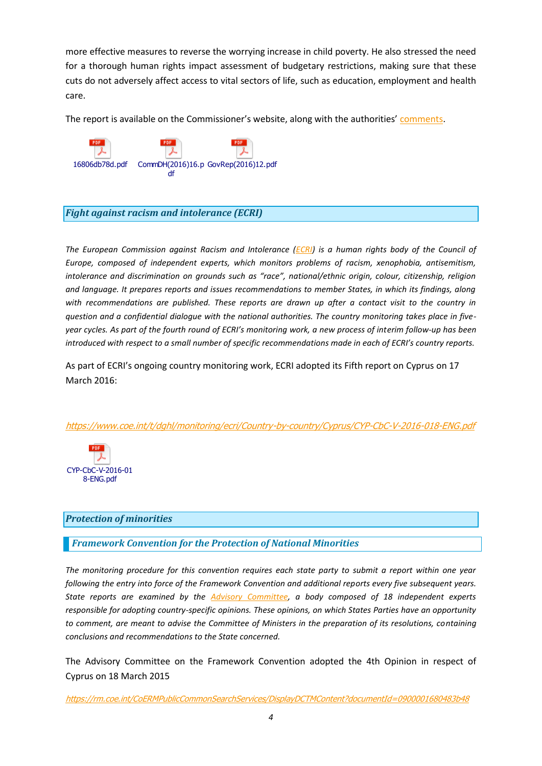more effective measures to reverse the worrying increase in child poverty. He also stressed the need for a thorough human rights impact assessment of budgetary restrictions, making sure that these cuts do not adversely affect access to vital sectors of life, such as education, employment and health care.

The report is available on the Commissioner's website, along with the authorities' [comments.](https://rm.coe.int/ref/CommDH/GovRep(2016)12)



# <span id="page-3-0"></span>*Fight against racism and intolerance (ECRI)*

*The European Commission against Racism and Intolerance [\(ECRI\)](http://www.coe.int/t/dghl/monitoring/ecri/default_en.asp) is a human rights body of the Council of Europe, composed of independent experts, which monitors problems of racism, xenophobia, antisemitism, intolerance and discrimination on grounds such as "race", national/ethnic origin, colour, citizenship, religion and language. It prepares reports and issues recommendations to member States, in which its findings, along with recommendations are published. These reports are drawn up after a contact visit to the country in question and a confidential dialogue with the national authorities. The country monitoring takes place in fiveyear cycles. As part of the fourth round of ECRI's monitoring work, a new process of interim follow-up has been introduced with respect to a small number of specific recommendations made in each of ECRI's country reports.*

As part of ECRI's ongoing country monitoring work, ECRI adopted its Fifth report on Cyprus on 17 March 2016:

#### <https://www.coe.int/t/dghl/monitoring/ecri/Country-by-country/Cyprus/CYP-CbC-V-2016-018-ENG.pdf>



#### <span id="page-3-1"></span>*Protection of minorities*

#### <span id="page-3-2"></span>*Framework Convention for the Protection of National Minorities*

*The monitoring procedure for this convention requires each state party to submit a report within one year following the entry into force of the Framework Convention and additional reports every five subsequent years. State reports are examined by the [Advisory Committee,](http://www.coe.int/en/web/minorities/monitoring) a body composed of 18 independent experts responsible for adopting country-specific opinions. These opinions, on which States Parties have an opportunity to comment, are meant to advise the Committee of Ministers in the preparation of its resolutions, containing conclusions and recommendations to the State concerned.* 

The Advisory Committee on the Framework Convention adopted the 4th Opinion in respect of Cyprus on 18 March 2015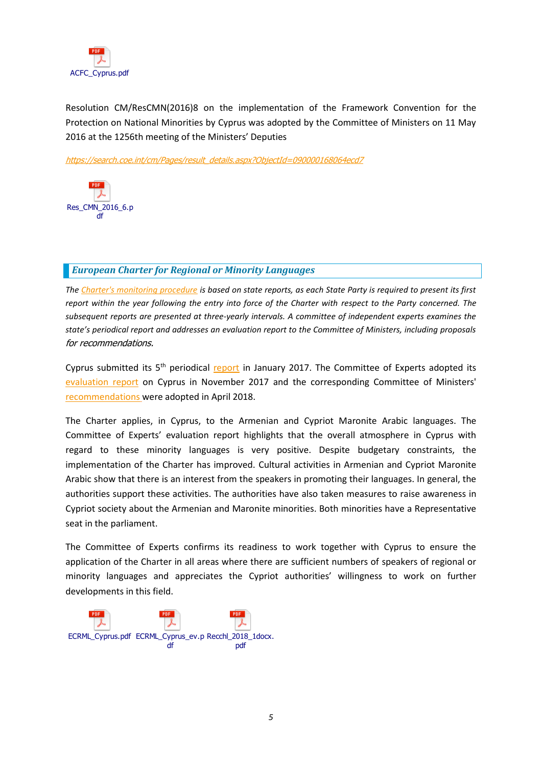

Resolution CM/ResCMN(2016)8 on the implementation of the Framework Convention for the Protection on National Minorities by Cyprus was adopted by the Committee of Ministers on 11 May 2016 at the 1256th meeting of the Ministers' Deputies

[https://search.coe.int/cm/Pages/result\\_details.aspx?ObjectId=090000168064ecd7](https://search.coe.int/cm/Pages/result_details.aspx?ObjectId=090000168064ecd7)



# <span id="page-4-0"></span>*European Charter for Regional or Minority Languages*

*The [Charter's monitoring procedure](http://www.coe.int/t/dg4/education/minlang/Report/) is based on state reports, as each State Party is required to present its first report within the year following the entry into force of the Charter with respect to the Party concerned. The subsequent reports are presented at three-yearly intervals. A committee of independent experts examines the state's periodical report and addresses an evaluation report to the Committee of Ministers, including proposals*  for recommendations.

Cyprus submitted its 5<sup>th</sup> periodical [report](https://rm.coe.int/CoERMPublicCommonSearchServices/DisplayDCTMContent?documentId=09000016806d8cde) in January 2017. The Committee of Experts adopted its [evaluation report](https://search.coe.int/cm/Pages/result_details.aspx?ObjectID=090000168078b249) on Cyprus in November 2017 and the corresponding Committee of Ministers' [recommendations](https://search.coe.int/cm/Pages/result_details.aspx?ObjectID=09000016807b4266) were adopted in April 2018.

The Charter applies, in Cyprus, to the Armenian and Cypriot Maronite Arabic languages. The Committee of Experts' evaluation report highlights that the overall atmosphere in Cyprus with regard to these minority languages is very positive. Despite budgetary constraints, the implementation of the Charter has improved. Cultural activities in Armenian and Cypriot Maronite Arabic show that there is an interest from the speakers in promoting their languages. In general, the authorities support these activities. The authorities have also taken measures to raise awareness in Cypriot society about the Armenian and Maronite minorities. Both minorities have a Representative seat in the parliament.

The Committee of Experts confirms its readiness to work together with Cyprus to ensure the application of the Charter in all areas where there are sufficient numbers of speakers of regional or minority languages and appreciates the Cypriot authorities' willingness to work on further developments in this field.

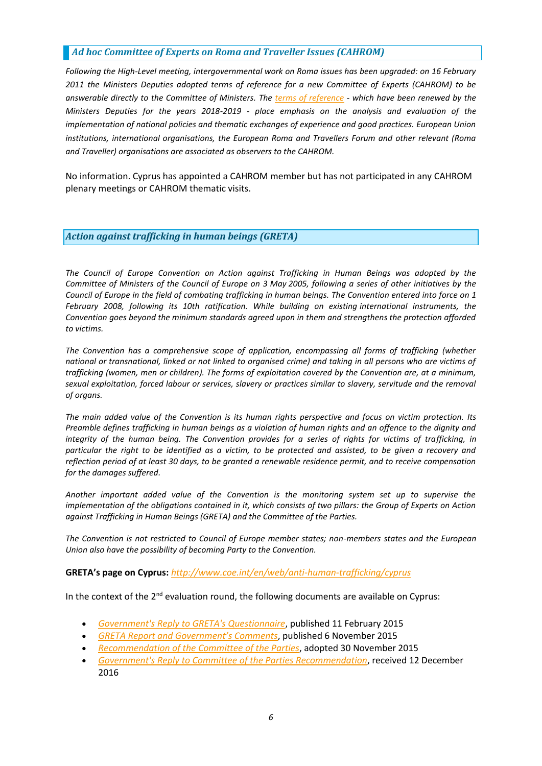# <span id="page-5-0"></span>*Ad hoc Committee of Experts on Roma and Traveller Issues (CAHROM)*

*Following the High-Level meeting, intergovernmental work on Roma issues has been upgraded: on 16 February 2011 the Ministers Deputies adopted terms of reference for a new Committee of Experts (CAHROM) to be answerable directly to the Committee of Ministers. The [terms of reference](http://rm.coe.int/cahrom-2017-28-en-final-terms-of-reference-2018-2019/168077dc8a) - which have been renewed by the Ministers Deputies for the years 2018-2019 - place emphasis on the analysis and evaluation of the implementation of national policies and thematic exchanges of experience and good practices. European Union institutions, international organisations, the European Roma and Travellers Forum and other relevant (Roma and Traveller) organisations are associated as observers to the CAHROM.*

No information. Cyprus has appointed a CAHROM member but has not participated in any CAHROM plenary meetings or CAHROM thematic visits.

## <span id="page-5-1"></span>*Action against trafficking in human beings (GRETA)*

*The Council of Europe Convention on Action against Trafficking in Human Beings was adopted by the Committee of Ministers of the Council of Europe on 3 May 2005, following a series of other initiatives by the Council of Europe in the field of combating trafficking in human beings. The Convention entered into force on 1 February 2008, following its 10th ratification. While building on existing international instruments, the Convention goes beyond the minimum standards agreed upon in them and strengthens the protection afforded to victims.*

*The Convention has a comprehensive scope of application, encompassing all forms of trafficking (whether national or transnational, linked or not linked to organised crime) and taking in all persons who are victims of trafficking (women, men or children). The forms of exploitation covered by the Convention are, at a minimum, sexual exploitation, forced labour or services, slavery or practices similar to slavery, servitude and the removal of organs.*

*The main added value of the Convention is its human rights perspective and focus on victim protection. Its Preamble defines trafficking in human beings as a violation of human rights and an offence to the dignity and integrity of the human being. The Convention provides for a series of rights for victims of trafficking, in particular the right to be identified as a victim, to be protected and assisted, to be given a recovery and reflection period of at least 30 days, to be granted a renewable residence permit, and to receive compensation for the damages suffered.*

*Another important added value of the Convention is the monitoring system set up to supervise the implementation of the obligations contained in it, which consists of two pillars: the Group of Experts on Action against Trafficking in Human Beings (GRETA) and the Committee of the Parties.*

*The Convention is not restricted to Council of Europe member states; non-members states and the European Union also have the possibility of becoming Party to the Convention.*

#### **GRETA's page on Cyprus:** *<http://www.coe.int/en/web/anti-human-trafficking/cyprus>*

In the context of the  $2^{nd}$  evaluation round, the following documents are available on Cyprus:

- *[Government's Reply to GRETA's Questionnaire](http://rm.coe.int/CoERMPublicCommonSearchServices/DisplayDCTMContent?documentId=0900001680631b98)*, published 11 February 2015
- *[GRETA Report and Government's Comments](http://rm.coe.int/greta-2015-20-fgr-cyp-w-cmts-en/168078e556)*, published 6 November 2015
- *[Recommendation of the Committee of the Parties](http://rm.coe.int/CoERMPublicCommonSearchServices/DisplayDCTMContent?documentId=0900001680631b92)*, adopted 30 November 2015
- *[Government's Reply to Committee of the Parties Recommendation](http://rm.coe.int/doc/09000016806fd4a3)*, received 12 December 2016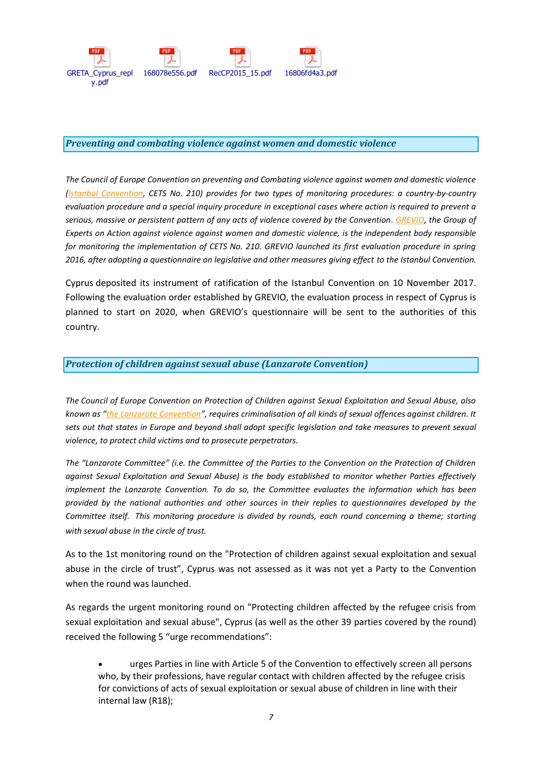

#### <span id="page-6-0"></span>*Preventing and combating violence against women and domestic violence*

*The Council of Europe Convention on preventing and Combating violence against women and domestic violence [\(Istanbul Convention,](http://www.coe.int/en/web/istanbul-convention/evaluation) CETS No. 210) provides for two types of monitoring procedures: a country-by-country evaluation procedure and a special inquiry procedure in exceptional cases where action is required to prevent a serious, massive or persistent pattern of any acts of violence covered by the Convention. [GREVIO,](http://www.coe.int/en/web/istanbul-convention/grevio) the Group of Experts on Action against violence against women and domestic violence, is the independent body responsible for monitoring the implementation of CETS No. 210. GREVIO launched its first evaluation procedure in spring 2016, after adopting a questionnaire on legislative and other measures giving effect to the Istanbul Convention.*

Cyprus deposited its instrument of ratification of the Istanbul Convention on 10 November 2017. Following the evaluation order established by GREVIO, the evaluation process in respect of Cyprus is planned to start on 2020, when GREVIO's questionnaire will be sent to the authorities of this country.

## <span id="page-6-1"></span>*Protection of children against sexual abuse (Lanzarote Convention)*

*The Council of Europe Convention on Protection of Children against Sexual Exploitation and Sexual Abuse, also known as "[the Lanzarote Convention](https://www.coe.int/en/web/children/lanzarote-convention)", requires criminalisation of all kinds of sexual offences against children. It sets out that states in Europe and beyond shall adopt specific legislation and take measures to prevent sexual violence, to protect child victims and to prosecute perpetrators.*

*The "Lanzarote Committee" (i.e. the Committee of the Parties to the Convention on the Protection of Children against Sexual Exploitation and Sexual Abuse) is the body established to monitor whether Parties effectively implement the Lanzarote Convention. To do so, the Committee evaluates the information which has been provided by the national authorities and other sources in their replies to questionnaires developed by the Committee itself. This monitoring procedure is divided by rounds, each round concerning a theme; starting with sexual abuse in the circle of trust.*

As to the 1st monitoring round on the "Protection of children against sexual exploitation and sexual abuse in the circle of trust", Cyprus was not assessed as it was not yet a Party to the Convention when the round was launched.

As regards the urgent monitoring round on "Protecting children affected by the refugee crisis from sexual exploitation and sexual abuse", Cyprus (as well as the other 39 parties covered by the round) received the following 5 "urge recommendations":

 urges Parties in line with Article 5 of the Convention to effectively screen all persons who, by their professions, have regular contact with children affected by the refugee crisis for convictions of acts of sexual exploitation or sexual abuse of children in line with their internal law (R18);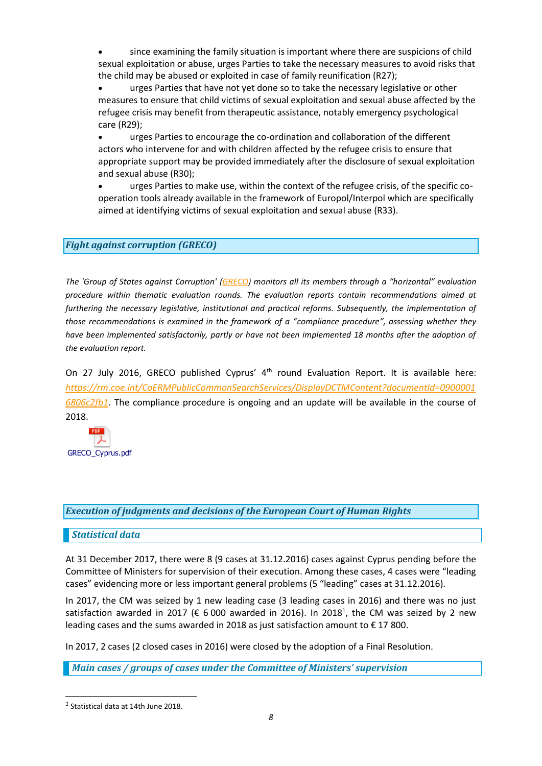since examining the family situation is important where there are suspicions of child sexual exploitation or abuse, urges Parties to take the necessary measures to avoid risks that the child may be abused or exploited in case of family reunification (R27);

 urges Parties that have not yet done so to take the necessary legislative or other measures to ensure that child victims of sexual exploitation and sexual abuse affected by the refugee crisis may benefit from therapeutic assistance, notably emergency psychological care (R29);

 urges Parties to encourage the co-ordination and collaboration of the different actors who intervene for and with children affected by the refugee crisis to ensure that appropriate support may be provided immediately after the disclosure of sexual exploitation and sexual abuse (R30);

 urges Parties to make use, within the context of the refugee crisis, of the specific cooperation tools already available in the framework of Europol/Interpol which are specifically aimed at identifying victims of sexual exploitation and sexual abuse (R33).

# <span id="page-7-0"></span>*Fight against corruption (GRECO)*

*The 'Group of States against Corruption' [\(GRECO\)](http://www.coe.int/t/dghl/monitoring/greco/default_en.asp) monitors all its members through a "horizontal" evaluation procedure within thematic evaluation rounds. The evaluation reports contain recommendations aimed at furthering the necessary legislative, institutional and practical reforms. Subsequently, the implementation of those recommendations is examined in the framework of a "compliance procedure", assessing whether they have been implemented satisfactorily, partly or have not been implemented 18 months after the adoption of the evaluation report.*

On 27 July 2016, GRECO published Cyprus'  $4<sup>th</sup>$  round Evaluation Report. It is available here: *[https://rm.coe.int/CoERMPublicCommonSearchServices/DisplayDCTMContent?documentId=0900001](https://rm.coe.int/CoERMPublicCommonSearchServices/DisplayDCTMContent?documentId=09000016806c2fb1) [6806c2fb1](https://rm.coe.int/CoERMPublicCommonSearchServices/DisplayDCTMContent?documentId=09000016806c2fb1)*. The compliance procedure is ongoing and an update will be available in the course of 2018.



#### <span id="page-7-1"></span>*Execution of judgments and decisions of the European Court of Human Rights*

#### <span id="page-7-2"></span>*Statistical data*

At 31 December 2017, there were 8 (9 cases at 31.12.2016) cases against Cyprus pending before the Committee of Ministers for supervision of their execution. Among these cases, 4 cases were "leading cases" evidencing more or less important general problems (5 "leading" cases at 31.12.2016).

In 2017, the CM was seized by 1 new leading case (3 leading cases in 2016) and there was no just satisfaction awarded in 2017 ( $\epsilon$  6 000 awarded in 2016). In 2018<sup>1</sup>, the CM was seized by 2 new leading cases and the sums awarded in 2018 as just satisfaction amount to  $\epsilon$  17 800.

In 2017, 2 cases (2 closed cases in 2016) were closed by the adoption of a Final Resolution.

<span id="page-7-3"></span>*Main cases / groups of cases under the Committee of Ministers' supervision*

*<sup>1</sup>* Statistical data at 14th June 2018.